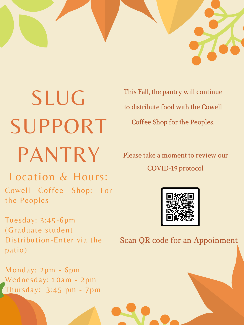

SLUG SUPPORT PANTRY

This Fall, the pantry will continue to distribute food with the Cowell Coffee Shop for the Peoples.

Please take a moment to review our

COVID-19 protocol

### Location & Hours:

Cowell Coffee Shop: For the Peoples

Tuesday: 3:45-6pm (Graduate student Distribution-Enter via the patio)

Monday: 2pm - 6pm Wednesday: 10am - 2pm Thursday: 3:45 pm - 7pm



#### Scan QR code for an Appoinment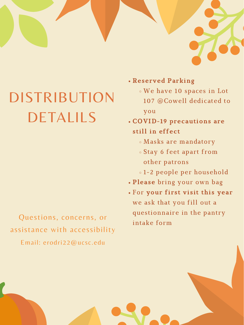

# DISTRIBUTION DETALILS

- Reserved Parking
	- We have 10 spaces in Lot 107 @Cowell dedicated to

you

- COVID-19 precautions are still in effect
	- Masks are mandatory
	- Stay 6 feet apart from
		- other patrons

- 1-2 people per household
- Please bring your own bag
- For your first visit this year we ask that you fill out a questionnaire in the pantry intake form

Questions, concerns, or assistance with accessibility Email: erodri22@ucsc.edu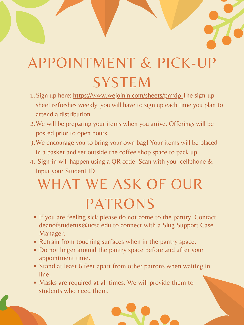## APPOINTMENT & PICK-UP SYSTEM

- 1. Sign up here: https://www.wejoinin.com/sheets/pmxip The sign-up sheet refreshes weekly, you will have to sign up each time you plan to attend a distribution
- 2. We will be preparing your items when you arrive. Offerings will be posted prior to open hours.
- 3. We encourage you to bring your own bag! Your items will be placed in a basket and set outside the coffee shop space to pack up.
- 4. Sign-in will happen using a QR code. Scan with your cellphone &

- If you are feeling sick please do not come to the pantry. Contact deanofstudents@ucsc.edu to connect with a Slug Support Case Manager.
- Refrain from touching surfaces when in the pantry space.
- Do not linger around the pantry space before and after your appointment time.
- Stand at least 6 feet apart from other patrons when waiting in line.
- Masks are required at all times. We will provide them to students who need them.

## Input your Student ID WHAT WE ASK OF OUR PATRONS